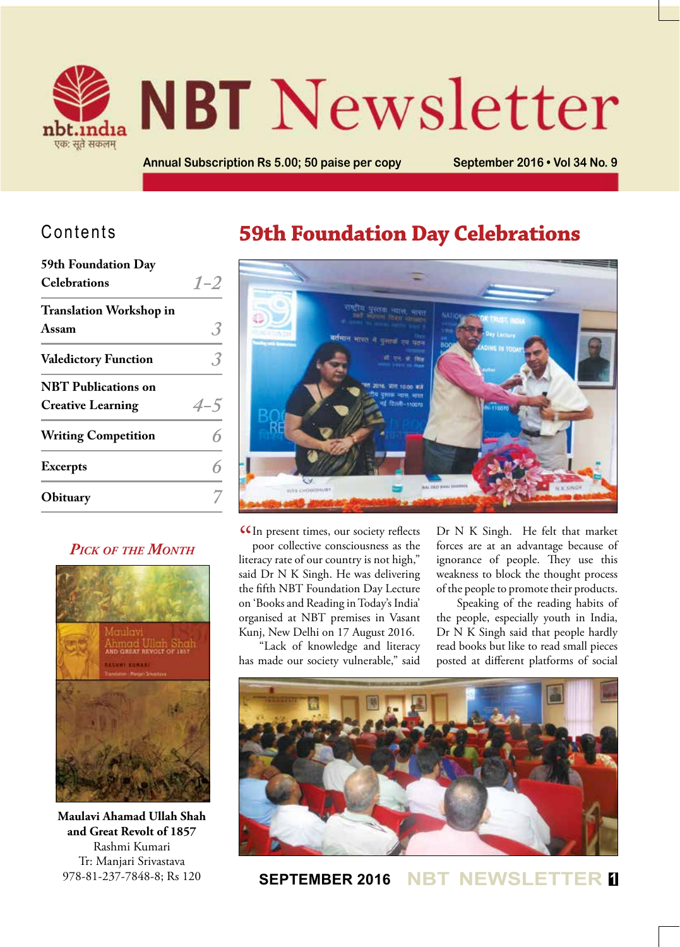

# **NBT** Newsletter

**Annual Subscription Rs 5.00; 50 paise per copy September 2016 • Vol 34 No. 9** 

## Contents

| 59th Foundation Day            |         |
|--------------------------------|---------|
| <b>Celebrations</b>            | $1 - 2$ |
| <b>Translation Workshop in</b> |         |
| Assam                          |         |
| <b>Valedictory Function</b>    |         |
| <b>NBT</b> Publications on     |         |
| <b>Creative Learning</b>       | $4 - 5$ |
| <b>Writing Competition</b>     |         |
| <b>Excerpts</b>                |         |
| Obituary                       |         |

#### *Pick of the Month*



**Maulavi Ahamad Ullah Shah and Great Revolt of 1857** Rashmi Kumari Tr: Manjari Srivastava 978-81-237-7848-8; Rs 120

## **59th Foundation Day Celebrations**



CCIn present times, our society reflects<br>poor collective consciousness as the poor collective consciousness as the literacy rate of our country is not high," said Dr N K Singh. He was delivering the fifth NBT Foundation Day Lecture on 'Books and Reading in Today's India' organised at NBT premises in Vasant Kunj, New Delhi on 17 August 2016.

"Lack of knowledge and literacy has made our society vulnerable," said

Dr N K Singh. He felt that market forces are at an advantage because of ignorance of people. They use this weakness to block the thought process of the people to promote their products.

Speaking of the reading habits of the people, especially youth in India, Dr N K Singh said that people hardly read books but like to read small pieces posted at different platforms of social



**SEPTEMBER 2016 NBT NEWSLETTER <sup>1</sup>**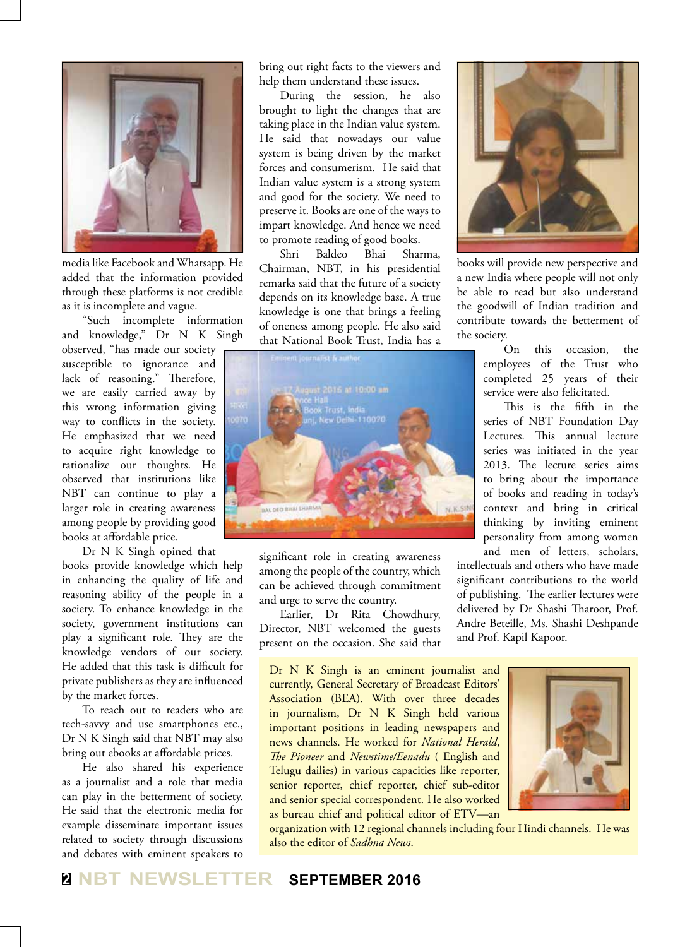

media like Facebook and Whatsapp. He added that the information provided through these platforms is not credible as it is incomplete and vague.

"Such incomplete information and knowledge," Dr N K Singh observed, "has made our society

susceptible to ignorance and lack of reasoning." Therefore, we are easily carried away by this wrong information giving way to conflicts in the society. He emphasized that we need to acquire right knowledge to rationalize our thoughts. He observed that institutions like NBT can continue to play a larger role in creating awareness among people by providing good books at affordable price.

Dr N K Singh opined that

books provide knowledge which help in enhancing the quality of life and reasoning ability of the people in a society. To enhance knowledge in the society, government institutions can play a significant role. They are the knowledge vendors of our society. He added that this task is difficult for private publishers as they are influenced by the market forces.

To reach out to readers who are tech-savvy and use smartphones etc., Dr N K Singh said that NBT may also bring out ebooks at affordable prices.

He also shared his experience as a journalist and a role that media can play in the betterment of society. He said that the electronic media for example disseminate important issues related to society through discussions and debates with eminent speakers to

bring out right facts to the viewers and help them understand these issues.

During the session, he also brought to light the changes that are taking place in the Indian value system. He said that nowadays our value system is being driven by the market forces and consumerism. He said that Indian value system is a strong system and good for the society. We need to preserve it. Books are one of the ways to impart knowledge. And hence we need to promote reading of good books.

Shri Baldeo Bhai Sharma, Chairman, NBT, in his presidential remarks said that the future of a society depends on its knowledge base. A true knowledge is one that brings a feeling of oneness among people. He also said that National Book Trust, India has a



significant role in creating awareness among the people of the country, which can be achieved through commitment and urge to serve the country.

Earlier, Dr Rita Chowdhury, Director, NBT welcomed the guests present on the occasion. She said that

Dr N K Singh is an eminent journalist and currently, General Secretary of Broadcast Editors' Association (BEA). With over three decades in journalism, Dr N K Singh held various important positions in leading newspapers and news channels. He worked for *National Herald*, *The Pioneer* and *Newstime/Eenadu* ( English and Telugu dailies) in various capacities like reporter, senior reporter, chief reporter, chief sub-editor and senior special correspondent. He also worked as bureau chief and political editor of ETV—an



books will provide new perspective and a new India where people will not only be able to read but also understand the goodwill of Indian tradition and contribute towards the betterment of the society.

> On this occasion, the employees of the Trust who completed 25 years of their service were also felicitated.

> This is the fifth in the series of NBT Foundation Day Lectures. This annual lecture series was initiated in the year 2013. The lecture series aims to bring about the importance of books and reading in today's context and bring in critical thinking by inviting eminent personality from among women and men of letters, scholars,

intellectuals and others who have made significant contributions to the world of publishing. The earlier lectures were delivered by Dr Shashi Tharoor, Prof. Andre Beteille, Ms. Shashi Deshpande and Prof. Kapil Kapoor.



organization with 12 regional channels including four Hindi channels. He was also the editor of *Sadhna News*.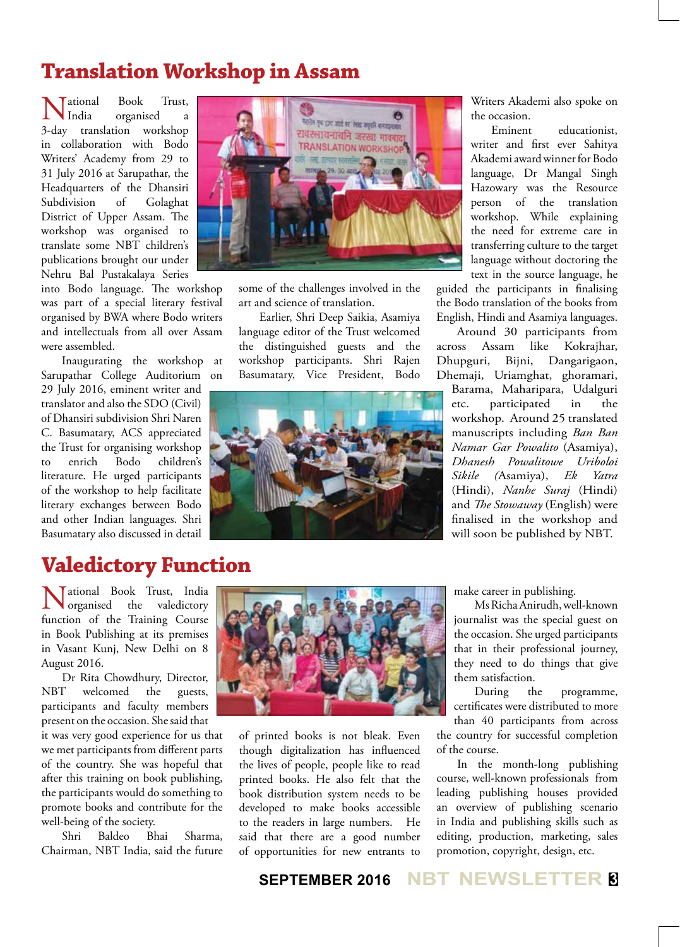## **Translation Workshop in Assam**

National Book Trust, 3-day translation workshop India organised a in collaboration with Bodo Writers' Academy from 29 to 31 July 2016 at Sarupathar, the Headquarters of the Dhansiri Subdivision of Golaghat District of Upper Assam. The workshop was organised to translate some NBT children's publications brought our under Nehru Bal Pustakalaya Series

into Bodo language. The workshop was part of a special literary festival organised by BWA where Bodo writers and intellectuals from all over Assam were assembled.

Inaugurating the workshop at Sarupathar College Auditorium on 29 July 2016, eminent writer and translator and also the SDO (Civil) of Dhansiri subdivision Shri Naren C. Basumatary, ACS appreciated the Trust for organising workshop<br>to enrich Bodo children's to enrich Bodo children's literature. He urged participants of the workshop to help facilitate literary exchanges between Bodo and other Indian languages. Shri Basumatary also discussed in detail



some of the challenges involved in the art and science of translation.

Earlier, Shri Deep Saikia, Asamiya language editor of the Trust welcomed the distinguished guests and the workshop participants. Shri Rajen Basumatary, Vice President, Bodo



Writers Akademi also spoke on the occasion.

Eminent educationist, writer and first ever Sahitya Akademi award winner for Bodo language, Dr Mangal Singh Hazowary was the Resource person of the translation workshop. While explaining the need for extreme care in transferring culture to the target language without doctoring the text in the source language, he

guided the participants in finalising the Bodo translation of the books from English, Hindi and Asamiya languages.

Around 30 participants from across Assam like Kokrajhar, Dhupguri, Bijni, Dangarigaon, Dhemaji, Uriamghat, ghoramari,

Barama, Maharipara, Udalguri etc. participated in the workshop. Around 25 translated manuscripts including *Ban Ban Namar Gar Powalito* (Asamiya), *Dhanesh Powalitowe Uriboloi Sikile (*Asamiya), *Ek Yatra*  (Hindi), *Nanhe Suraj* (Hindi) and *The Stowaway* (English) were finalised in the workshop and will soon be published by NBT.

## **Valedictory Function**

National Book Trust, India organised the valedictory function of the Training Course in Book Publishing at its premises in Vasant Kunj, New Delhi on 8 August 2016.

Dr Rita Chowdhury, Director, NBT welcomed the guests, participants and faculty members present on the occasion. She said that

it was very good experience for us that we met participants from different parts of the country. She was hopeful that after this training on book publishing, the participants would do something to promote books and contribute for the well-being of the society.

Shri Baldeo Bhai Sharma, Chairman, NBT India, said the future



of printed books is not bleak. Even though digitalization has influenced the lives of people, people like to read printed books. He also felt that the book distribution system needs to be developed to make books accessible to the readers in large numbers. He said that there are a good number of opportunities for new entrants to

make career in publishing.

Ms Richa Anirudh, well-known journalist was the special guest on the occasion. She urged participants that in their professional journey, they need to do things that give them satisfaction.

During the programme, certificates were distributed to more than 40 participants from across the country for successful completion of the course.

In the month-long publishing course, well-known professionals from leading publishing houses provided an overview of publishing scenario in India and publishing skills such as editing, production, marketing, sales promotion, copyright, design, etc.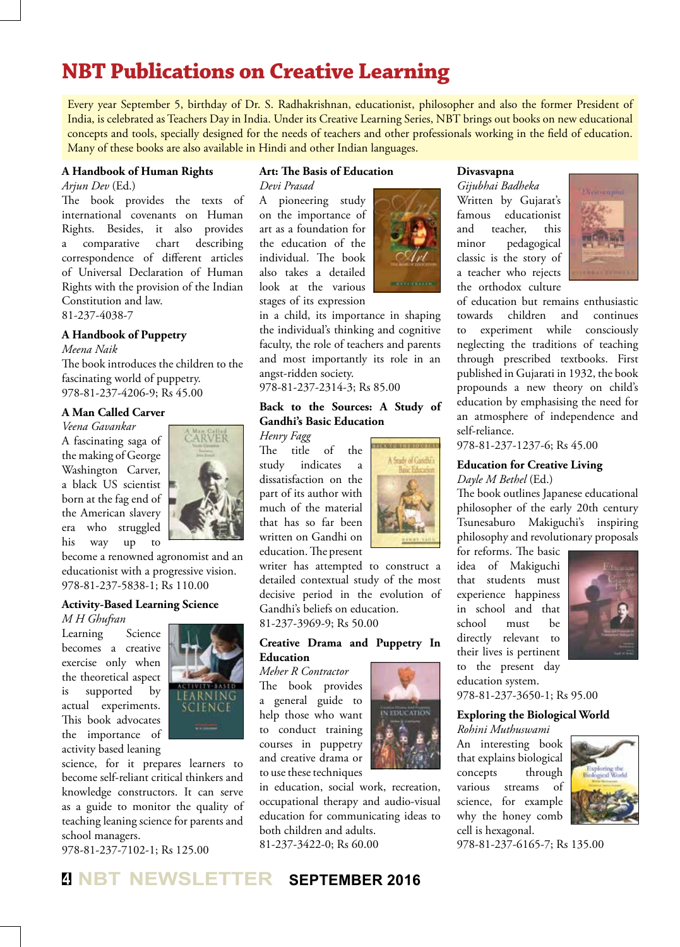## **NBT Publications on Creative Learning**

Every year September 5, birthday of Dr. S. Radhakrishnan, educationist, philosopher and also the former President of India, is celebrated as Teachers Day in India. Under its Creative Learning Series, NBT brings out books on new educational concepts and tools, specially designed for the needs of teachers and other professionals working in the field of education. Many of these books are also available in Hindi and other Indian languages.

#### **A Handbook of Human Rights**

*Arjun Dev* (Ed.)

The book provides the texts of international covenants on Human Rights. Besides, it also provides a comparative chart describing correspondence of different articles of Universal Declaration of Human Rights with the provision of the Indian Constitution and law. 81-237-4038-7

#### **A Handbook of Puppetry**

*Meena Naik*

The book introduces the children to the fascinating world of puppetry. 978-81-237-4206-9; Rs 45.00

#### **A Man Called Carver**

*Veena Gavankar* A fascinating saga of the making of George Washington Carver, a black US scientist born at the fag end of the American slavery era who struggled his way up to



become a renowned agronomist and an educationist with a progressive vision. 978-81-237-5838-1; Rs 110.00

#### **Activity-Based Learning Science**

*M H Ghufran* Learning Science becomes a creative exercise only when the theoretical aspect is supported by actual experiments. This book advocates the importance of activity based leaning



science, for it prepares learners to become self-reliant critical thinkers and knowledge constructors. It can serve as a guide to monitor the quality of teaching leaning science for parents and school managers.

978-81-237-7102-1; Rs 125.00

#### **Art: The Basis of Education** *Devi Prasad*

A pioneering study on the importance of art as a foundation for the education of the individual. The book also takes a detailed look at the various stages of its expression

in a child, its importance in shaping the individual's thinking and cognitive faculty, the role of teachers and parents and most importantly its role in an angst-ridden society.

978-81-237-2314-3; Rs 85.00

#### **Back to the Sources: A Study of Gandhi's Basic Education**

#### *Henry Fagg*

The title of the study indicates a dissatisfaction on the part of its author with much of the material that has so far been written on Gandhi on education. The present

writer has attempted to construct a detailed contextual study of the most decisive period in the evolution of Gandhi's beliefs on education. 81-237-3969-9; Rs 50.00

#### **Creative Drama and Puppetry In Education**

*Meher R Contractor* The book provides a general guide to help those who want to conduct training courses in puppetry and creative drama or to use these techniques

in education, social work, recreation, occupational therapy and audio-visual education for communicating ideas to both children and adults. 81-237-3422-0; Rs 60.00

**IN EDUCATION** 

**TEMPERATURE DE TH** Snik of Godhi

**Divasvapna**

*Gijubhai Badheka* Written by Gujarat's famous educationist and teacher, this minor pedagogical classic is the story of a teacher who rejects the orthodox culture



of education but remains enthusiastic towards children and continues to experiment while consciously neglecting the traditions of teaching through prescribed textbooks. First published in Gujarati in 1932, the book propounds a new theory on child's education by emphasising the need for an atmosphere of independence and self-reliance.

978-81-237-1237-6; Rs 45.00

#### **Education for Creative Living** *Dayle M Bethel* (Ed.)

The book outlines Japanese educational philosopher of the early 20th century Tsunesaburo Makiguchi's inspiring philosophy and revolutionary proposals

for reforms. The basic idea of Makiguchi that students must experience happiness in school and that school must be directly relevant to their lives is pertinent to the present day



978-81-237-3650-1; Rs 95.00

#### **Exploring the Biological World**

An interesting book that explains biological concepts through various streams of science, for example why the honey comb cell is hexagonal.



978-81-237-6165-7; Rs 135.00



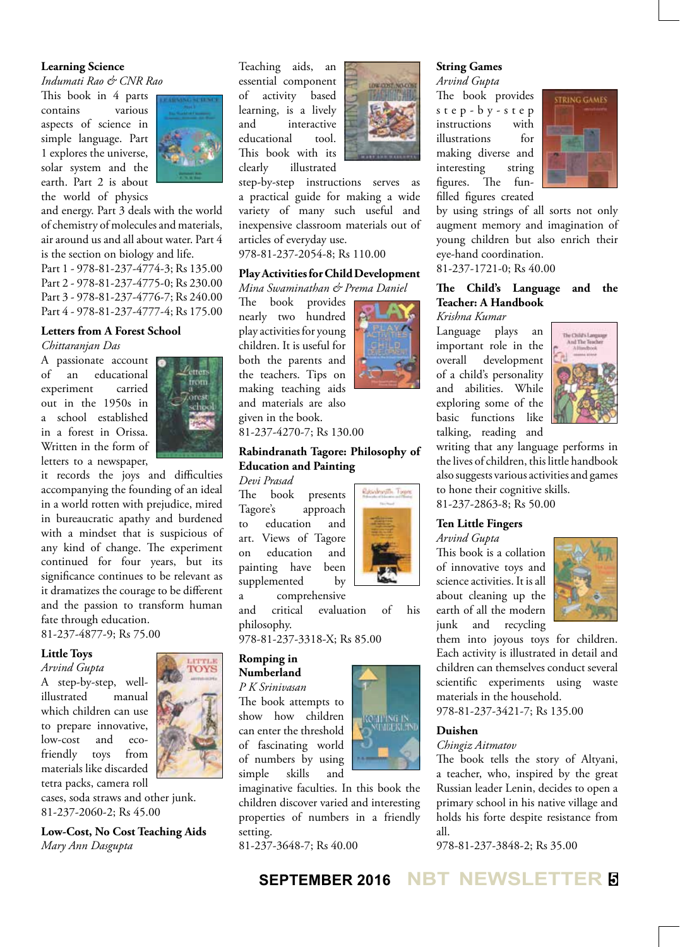#### **Learning Science**

*Indumati Rao & CNR Rao*

This book in 4 parts contains various aspects of science in simple language. Part 1 explores the universe, solar system and the earth. Part 2 is about the world of physics



and energy. Part 3 deals with the world of chemistry of molecules and materials, air around us and all about water. Part 4 is the section on biology and life. Part 1 - 978-81-237-4774-3; Rs 135.00 Part 2 - 978-81-237-4775-0; Rs 230.00 Part 3 - 978-81-237-4776-7; Rs 240.00 Part 4 - 978-81-237-4777-4; Rs 175.00

#### **Letters from A Forest School**  *Chittaranjan Das*

A passionate account of an educational experiment carried out in the 1950s in a school established in a forest in Orissa. Written in the form of letters to a newspaper,



it records the joys and difficulties accompanying the founding of an ideal in a world rotten with prejudice, mired in bureaucratic apathy and burdened with a mindset that is suspicious of any kind of change. The experiment continued for four years, but its significance continues to be relevant as it dramatizes the courage to be different and the passion to transform human fate through education.

81-237-4877-9; Rs 75.00

#### **Little Toys**

*Arvind Gupta* A step-by-step, wellillustrated manual which children can use to prepare innovative, low-cost and ecofriendly toys from materials like discarded tetra packs, camera roll

cases, soda straws and other junk. 81-237-2060-2; Rs 45.00

**Low-Cost, No Cost Teaching Aids** *Mary Ann Dasgupta*

Teaching aids, an essential component of activity based learning, is a lively and interactive educational tool. This book with its clearly illustrated



step-by-step instructions serves as a practical guide for making a wide variety of many such useful and inexpensive classroom materials out of articles of everyday use.

978-81-237-2054-8; Rs 110.00

#### **Play Activities for Child Development** *Mina Swaminathan & Prema Daniel*

The book provides nearly two hundred play activities for young children. It is useful for both the parents and the teachers. Tips on making teaching aids and materials are also given in the book.

81-237-4270-7; Rs 130.00

#### **Rabindranath Tagore: Philosophy of Education and Painting**

*Devi Prasad* The book presents Tagore's approach to education and art. Views of Tagore on education and painting have been supplemented by

a comprehensive

and critical evaluation of his philosophy.

978-81-237-3318-X; Rs 85.00

#### **Romping in Numberland**

*P K Srinivasan*

The book attempts to show how children can enter the threshold of fascinating world of numbers by using simple skills and

imaginative faculties. In this book the children discover varied and interesting properties of numbers in a friendly setting.

81-237-3648-7; Rs 40.00



**String Games**

instructions with illustrations for making diverse and interesting string figures. The funfilled figures created



by using strings of all sorts not only augment memory and imagination of young children but also enrich their eye-hand coordination.

81-237-1721-0; Rs 40.00

#### **The Child's Language and the Teacher: A Handbook** *Krishna Kumar*

Language plays an important role in the overall development of a child's personality and abilities. While exploring some of the basic functions like talking, reading and



writing that any language performs in the lives of children, this little handbook also suggests various activities and games to hone their cognitive skills. 81-237-2863-8; Rs 50.00

#### **Ten Little Fingers**

*Arvind Gupta*

This book is a collation of innovative toys and science activities. It is all about cleaning up the earth of all the modern junk and recycling



them into joyous toys for children. Each activity is illustrated in detail and children can themselves conduct several scientific experiments using waste materials in the household. 978-81-237-3421-7; Rs 135.00

#### **Duishen**

#### *Chingiz Aitmatov*

The book tells the story of Altyani, a teacher, who, inspired by the great Russian leader Lenin, decides to open a primary school in his native village and holds his forte despite resistance from all.

978-81-237-3848-2; Rs 35.00





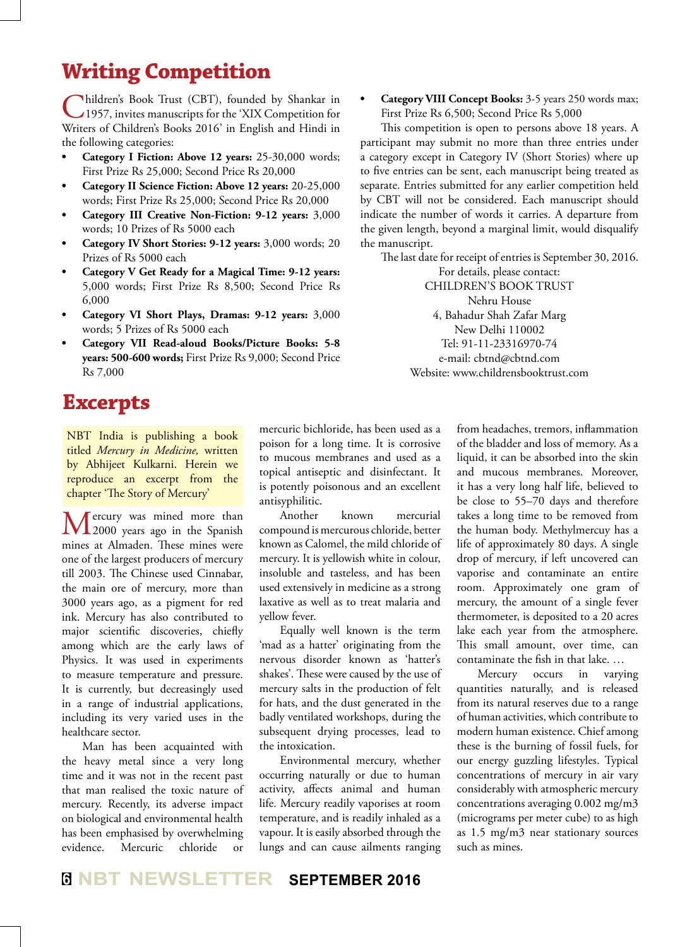## **Writing Competition**

Children's Book Trust (CBT), founded by Shankar in 1957, invites manuscripts for the 'XIX Competition for Writers of Children's Books 2016' in English and Hindi in the following categories:

- **Category I** Fiction: Above 12 years: 25-30,000 words; First Prize Rs 25,000; Second Price Rs 20,000
- **• Category II Science Fiction: Above 12 years:** 20-25,000 words; First Prize Rs 25,000; Second Price Rs 20,000
- **Category III** Creative Non-Fiction: 9-12 years: 3,000 words; 10 Prizes of Rs 5000 each
- **Category IV Short Stories: 9-12 years:** 3,000 words; 20 Prizes of Rs 5000 each
- **• Category V Get Ready for a Magical Time: 9-12 years:** 5,000 words; First Prize Rs 8,500; Second Price Rs 6,000
- **• Category VI Short Plays, Dramas: 9-12 years:** 3,000 words; 5 Prizes of Rs 5000 each
- **• Category VII Read-aloud Books/Picture Books: 5-8 years: 500-600 words;** First Prize Rs 9,000; Second Price Rs 7,000

## **Excerpts**

NBT India is publishing a book titled *Mercury in Medicine,* written by Abhijeet Kulkarni. Herein we reproduce an excerpt from the chapter 'The Story of Mercury'

Mercury was mined more than<br>
2000 years ago in the Spanish mines at Almaden. These mines were one of the largest producers of mercury till 2003. The Chinese used Cinnabar, the main ore of mercury, more than 3000 years ago, as a pigment for red ink. Mercury has also contributed to major scientific discoveries, chiefly among which are the early laws of Physics. It was used in experiments to measure temperature and pressure. It is currently, but decreasingly used in a range of industrial applications, including its very varied uses in the healthcare sector.

Man has been acquainted with the heavy metal since a very long time and it was not in the recent past that man realised the toxic nature of mercury. Recently, its adverse impact on biological and environmental health has been emphasised by overwhelming evidence. Mercuric chloride or mercuric bichloride, has been used as a poison for a long time. It is corrosive to mucous membranes and used as a topical antiseptic and disinfectant. It is potently poisonous and an excellent antisyphilitic.

Another known mercurial compound is mercurous chloride, better known as Calomel, the mild chloride of mercury. It is yellowish white in colour, insoluble and tasteless, and has been used extensively in medicine as a strong laxative as well as to treat malaria and yellow fever.

Equally well known is the term 'mad as a hatter' originating from the nervous disorder known as 'hatter's shakes'. These were caused by the use of mercury salts in the production of felt for hats, and the dust generated in the badly ventilated workshops, during the subsequent drying processes, lead to the intoxication.

Environmental mercury, whether occurring naturally or due to human activity, affects animal and human life. Mercury readily vaporises at room temperature, and is readily inhaled as a vapour. It is easily absorbed through the lungs and can cause ailments ranging

**Category VIII Concept Books: 3-5 years 250 words max;** First Prize Rs 6,500; Second Price Rs 5,000

This competition is open to persons above 18 years. A participant may submit no more than three entries under a category except in Category IV (Short Stories) where up to five entries can be sent, each manuscript being treated as separate. Entries submitted for any earlier competition held by CBT will not be considered. Each manuscript should indicate the number of words it carries. A departure from the given length, beyond a marginal limit, would disqualify the manuscript.

The last date for receipt of entries is September 30, 2016. For details, please contact:

> CHILDREN'S BOOK TRUST Nehru House 4, Bahadur Shah Zafar Marg New Delhi 110002 Tel: 91-11-23316970-74 e-mail: cbtnd@cbtnd.com Website: www.childrensbooktrust.com

> > from headaches, tremors, inflammation of the bladder and loss of memory. As a liquid, it can be absorbed into the skin and mucous membranes. Moreover, it has a very long half life, believed to be close to 55–70 days and therefore takes a long time to be removed from the human body. Methylmercuy has a life of approximately 80 days. A single drop of mercury, if left uncovered can vaporise and contaminate an entire room. Approximately one gram of mercury, the amount of a single fever thermometer, is deposited to a 20 acres lake each year from the atmosphere. This small amount, over time, can contaminate the fish in that lake. …

> > Mercury occurs in varying quantities naturally, and is released from its natural reserves due to a range of human activities, which contribute to modern human existence. Chief among these is the burning of fossil fuels, for our energy guzzling lifestyles. Typical concentrations of mercury in air vary considerably with atmospheric mercury concentrations averaging 0.002 mg/m3 (micrograms per meter cube) to as high as 1.5 mg/m3 near stationary sources such as mines.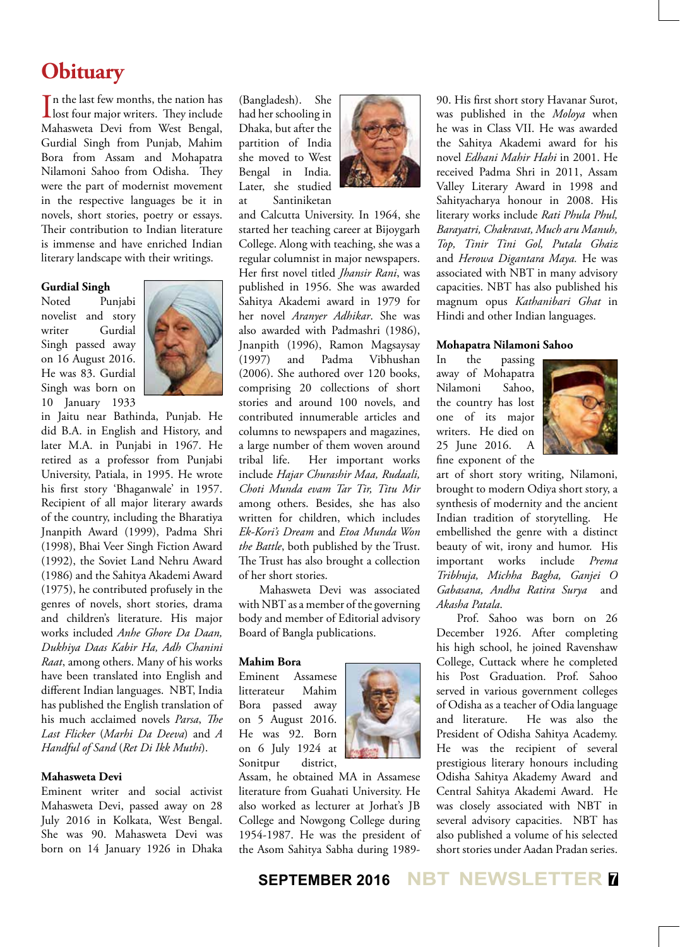## **Obituary**

 $\prod$ n the last few months, the nation has<br>lost four major writers. They include n the last few months, the nation has Mahasweta Devi from West Bengal, Gurdial Singh from Punjab, Mahim Bora from Assam and Mohapatra Nilamoni Sahoo from Odisha. They were the part of modernist movement in the respective languages be it in novels, short stories, poetry or essays. Their contribution to Indian literature is immense and have enriched Indian literary landscape with their writings.

#### **Gurdial Singh**

Noted Punjabi novelist and story writer Gurdial Singh passed away on 16 August 2016. He was 83. Gurdial Singh was born on 10 January 1933



in Jaitu near Bathinda, Punjab. He did B.A. in English and History, and later M.A. in Punjabi in 1967. He retired as a professor from Punjabi University, Patiala, in 1995. He wrote his first story 'Bhaganwale' in 1957. Recipient of all major literary awards of the country, including the Bharatiya Jnanpith Award (1999), Padma Shri (1998), Bhai Veer Singh Fiction Award (1992), the Soviet Land Nehru Award (1986) and the Sahitya Akademi Award (1975), he contributed profusely in the genres of novels, short stories, drama and children's literature. His major works included *Anhe Ghore Da Daan, Dukhiya Daas Kabir Ha, Adh Chanini Raat*, among others. Many of his works have been translated into English and different Indian languages. NBT, India has published the English translation of his much acclaimed novels *Parsa*, *The Last Flicker* (*Marhi Da Deeva*) and *A Handful of Sand* (*Ret Di Ikk Muthi*).

#### **Mahasweta Devi**

Eminent writer and social activist Mahasweta Devi, passed away on 28 July 2016 in Kolkata, West Bengal. She was 90. Mahasweta Devi was born on 14 January 1926 in Dhaka

(Bangladesh). She had her schooling in Dhaka, but after the partition of India she moved to West Bengal in India. Later, she studied at Santiniketan



and Calcutta University. In 1964, she started her teaching career at Bijoygarh College. Along with teaching, she was a regular columnist in major newspapers. Her first novel titled *Jhansir Rani*, was published in 1956. She was awarded Sahitya Akademi award in 1979 for her novel *Aranyer Adhikar*. She was also awarded with Padmashri (1986), Jnanpith (1996), Ramon Magsaysay (1997) and Padma Vibhushan (2006). She authored over 120 books, comprising 20 collections of short stories and around 100 novels, and contributed innumerable articles and columns to newspapers and magazines, a large number of them woven around tribal life. Her important works include *Hajar Churashir Maa, Rudaali, Choti Munda evam Tar Tir, Titu Mir*  among others. Besides, she has also written for children, which includes *Ek-Kori's Dream* and *Etoa Munda Won the Battle*, both published by the Trust. The Trust has also brought a collection of her short stories.

Mahasweta Devi was associated with NBT as a member of the governing body and member of Editorial advisory Board of Bangla publications.

#### **Mahim Bora**

Eminent Assamese litterateur Mahim Bora passed away on 5 August 2016. He was 92. Born on 6 July 1924 at Sonitpur district,



literature from Guahati University. He also worked as lecturer at Jorhat's JB College and Nowgong College during 1954-1987. He was the president of the Asom Sahitya Sabha during 198990. His first short story Havanar Surot, was published in the *Moloya* when he was in Class VII. He was awarded the Sahitya Akademi award for his novel *Edhani Mahir Hahi* in 2001. He received Padma Shri in 2011, Assam Valley Literary Award in 1998 and Sahityacharya honour in 2008. His literary works include *Rati Phula Phul, Barayatri, Chakravat, Much aru Manuh, Top, Tinir Tini Gol, Putala Ghaiz*  and *Herowa Digantara Maya.* He was associated with NBT in many advisory capacities. NBT has also published his magnum opus *Kathanibari Ghat* in Hindi and other Indian languages.

#### **Mohapatra Nilamoni Sahoo**

In the passing away of Mohapatra Nilamoni Sahoo, the country has lost one of its major writers. He died on 25 June 2016. A fine exponent of the



art of short story writing, Nilamoni, brought to modern Odiya short story, a synthesis of modernity and the ancient Indian tradition of storytelling. He embellished the genre with a distinct beauty of wit, irony and humor. His important works include *Prema Tribhuja, Michha Bagha, Ganjei O Gabasana, Andha Ratira Surya* and *Akasha Patala*.

Prof. Sahoo was born on 26 December 1926. After completing his high school, he joined Ravenshaw College, Cuttack where he completed his Post Graduation. Prof. Sahoo served in various government colleges of Odisha as a teacher of Odia language and literature. He was also the President of Odisha Sahitya Academy. He was the recipient of several prestigious literary honours including Odisha Sahitya Akademy Award and Central Sahitya Akademi Award. He was closely associated with NBT in several advisory capacities. NBT has also published a volume of his selected short stories under Aadan Pradan series.